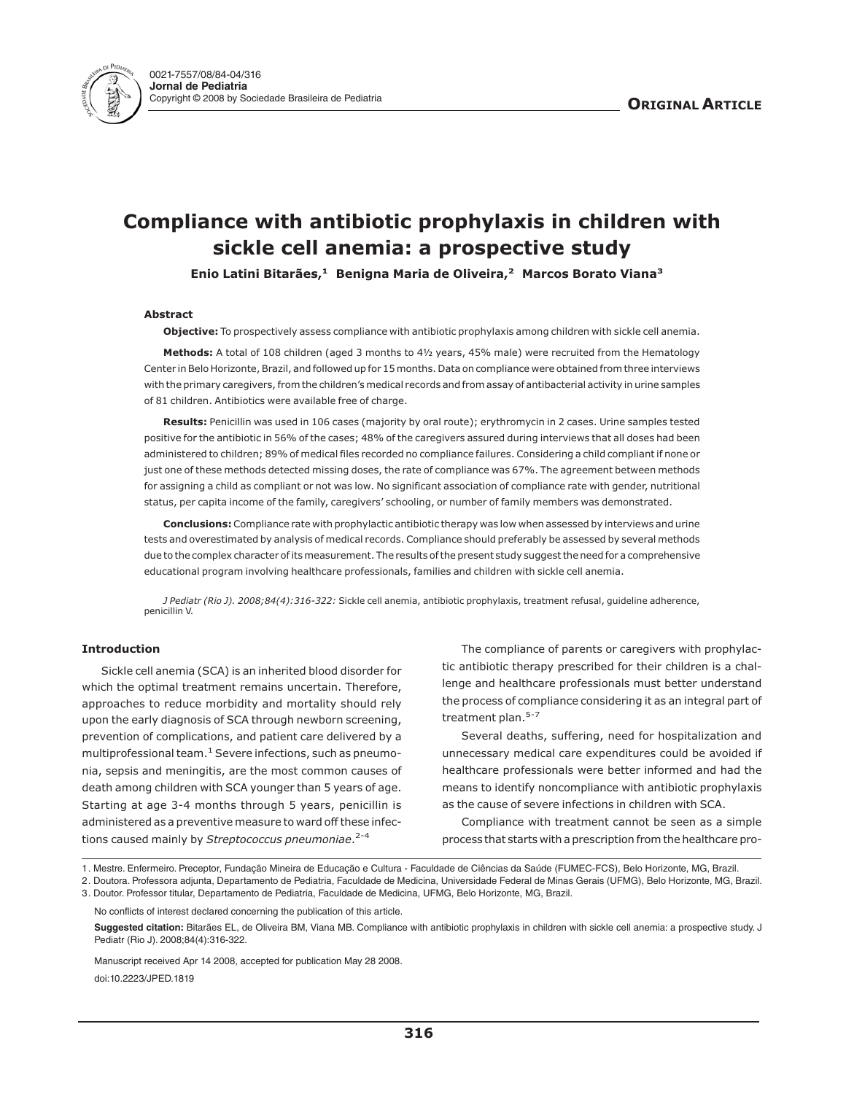

# **Compliance with antibiotic prophylaxis in children with sickle cell anemia: a prospective study**

**Enio Latini Bitarães,<sup>1</sup> Benigna Maria de Oliveira,<sup>2</sup> Marcos Borato Viana<sup>3</sup>**

## **Abstract**

**Objective:** To prospectively assess compliance with antibiotic prophylaxis among children with sickle cell anemia.

**Methods:** A total of 108 children (aged 3 months to 4½ years, 45% male) were recruited from the Hematology Center in Belo Horizonte, Brazil, and followed up for 15 months. Data on compliance were obtained from three interviews with the primary caregivers, from the children's medical records and from assay of antibacterial activity in urine samples of 81 children. Antibiotics were available free of charge.

**Results:** Penicillin was used in 106 cases (majority by oral route); erythromycin in 2 cases. Urine samples tested positive for the antibiotic in 56% of the cases; 48% of the caregivers assured during interviews that all doses had been administered to children; 89% of medical files recorded no compliance failures. Considering a child compliant if none or just one of these methods detected missing doses, the rate of compliance was 67%. The agreement between methods for assigning a child as compliant or not was low. No significant association of compliance rate with gender, nutritional status, per capita income of the family, caregivers' schooling, or number of family members was demonstrated.

**Conclusions:** Compliance rate with prophylactic antibiotic therapy was low when assessed by interviews and urine tests and overestimated by analysis of medical records. Compliance should preferably be assessed by several methods due to the complex character of its measurement. The results of the present study suggest the need for a comprehensive educational program involving healthcare professionals, families and children with sickle cell anemia.

*J Pediatr (Rio J). 2008;84(4):316-322:* Sickle cell anemia, antibiotic prophylaxis, treatment refusal, guideline adherence, penicillin V.

## **Introduction**

Sickle cell anemia (SCA) is an inherited blood disorder for which the optimal treatment remains uncertain. Therefore, approaches to reduce morbidity and mortality should rely upon the early diagnosis of SCA through newborn screening, prevention of complications, and patient care delivered by a multiprofessional team. $<sup>1</sup>$  Severe infections, such as pneumo-</sup> nia, sepsis and meningitis, are the most common causes of death among children with SCA younger than 5 years of age. Starting at age 3-4 months through 5 years, penicillin is administered as a preventive measure to ward off these infections caused mainly by *Streptococcus pneumoniae*. 2-4

The compliance of parents or caregivers with prophylactic antibiotic therapy prescribed for their children is a challenge and healthcare professionals must better understand the process of compliance considering it as an integral part of treatment plan.<sup>5-7</sup>

Several deaths, suffering, need for hospitalization and unnecessary medical care expenditures could be avoided if healthcare professionals were better informed and had the means to identify noncompliance with antibiotic prophylaxis as the cause of severe infections in children with SCA.

Compliance with treatment cannot be seen as a simple process that starts with a prescription from the healthcare pro-

1. Mestre. Enfermeiro. Preceptor, Fundação Mineira de Educação e Cultura - Faculdade de Ciências da Saúde (FUMEC-FCS), Belo Horizonte, MG, Brazil.

2. Doutora. Professora adjunta, Departamento de Pediatria, Faculdade de Medicina, Universidade Federal de Minas Gerais (UFMG), Belo Horizonte, MG, Brazil.

3. Doutor. Professor titular, Departamento de Pediatria, Faculdade de Medicina, UFMG, Belo Horizonte, MG, Brazil.

No conflicts of interest declared concerning the publication of this article.

**Suggested citation:** Bitarães EL, de Oliveira BM, Viana MB. Compliance with antibiotic prophylaxis in children with sickle cell anemia: a prospective study. J Pediatr (Rio J). 2008;84(4):316-322.

Manuscript received Apr 14 2008, accepted for publication May 28 2008. doi:10.2223/JPED.1819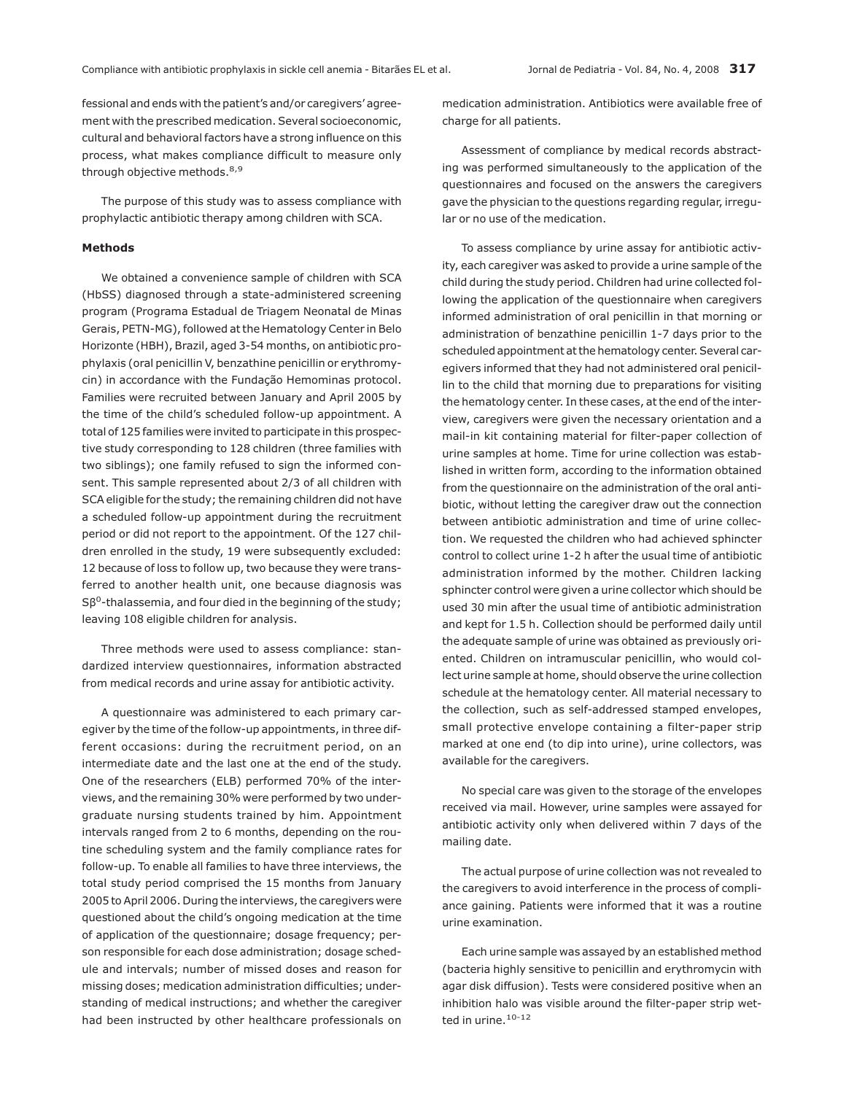fessional and ends with the patient's and/or caregivers' agreement with the prescribed medication. Several socioeconomic, cultural and behavioral factors have a strong influence on this process, what makes compliance difficult to measure only through objective methods.<sup>8,9</sup>

The purpose of this study was to assess compliance with prophylactic antibiotic therapy among children with SCA.

## **Methods**

We obtained a convenience sample of children with SCA (HbSS) diagnosed through a state-administered screening program (Programa Estadual de Triagem Neonatal de Minas Gerais, PETN-MG), followed at the Hematology Center in Belo Horizonte (HBH), Brazil, aged 3-54 months, on antibiotic prophylaxis (oral penicillin V, benzathine penicillin or erythromycin) in accordance with the Fundação Hemominas protocol. Families were recruited between January and April 2005 by the time of the child's scheduled follow-up appointment. A total of 125 families were invited to participate in this prospective study corresponding to 128 children (three families with two siblings); one family refused to sign the informed consent. This sample represented about 2/3 of all children with SCA eligible for the study; the remaining children did not have a scheduled follow-up appointment during the recruitment period or did not report to the appointment. Of the 127 children enrolled in the study, 19 were subsequently excluded: 12 because of loss to follow up, two because they were transferred to another health unit, one because diagnosis was  $S\beta^{0}$ -thalassemia, and four died in the beginning of the study; leaving 108 eligible children for analysis.

Three methods were used to assess compliance: standardized interview questionnaires, information abstracted from medical records and urine assay for antibiotic activity.

A questionnaire was administered to each primary caregiver by the time of the follow-up appointments, in three different occasions: during the recruitment period, on an intermediate date and the last one at the end of the study. One of the researchers (ELB) performed 70% of the interviews, and the remaining 30% were performed by two undergraduate nursing students trained by him. Appointment intervals ranged from 2 to 6 months, depending on the routine scheduling system and the family compliance rates for follow-up. To enable all families to have three interviews, the total study period comprised the 15 months from January 2005 to April 2006. During the interviews, the caregivers were questioned about the child's ongoing medication at the time of application of the questionnaire; dosage frequency; person responsible for each dose administration; dosage schedule and intervals; number of missed doses and reason for missing doses; medication administration difficulties; understanding of medical instructions; and whether the caregiver had been instructed by other healthcare professionals on medication administration. Antibiotics were available free of charge for all patients.

Assessment of compliance by medical records abstracting was performed simultaneously to the application of the questionnaires and focused on the answers the caregivers gave the physician to the questions regarding regular, irregular or no use of the medication.

To assess compliance by urine assay for antibiotic activity, each caregiver was asked to provide a urine sample of the child during the study period. Children had urine collected following the application of the questionnaire when caregivers informed administration of oral penicillin in that morning or administration of benzathine penicillin 1-7 days prior to the scheduled appointment at the hematology center. Several caregivers informed that they had not administered oral penicillin to the child that morning due to preparations for visiting the hematology center. In these cases, at the end of the interview, caregivers were given the necessary orientation and a mail-in kit containing material for filter-paper collection of urine samples at home. Time for urine collection was established in written form, according to the information obtained from the questionnaire on the administration of the oral antibiotic, without letting the caregiver draw out the connection between antibiotic administration and time of urine collection. We requested the children who had achieved sphincter control to collect urine 1-2 h after the usual time of antibiotic administration informed by the mother. Children lacking sphincter control were given a urine collector which should be used 30 min after the usual time of antibiotic administration and kept for 1.5 h. Collection should be performed daily until the adequate sample of urine was obtained as previously oriented. Children on intramuscular penicillin, who would collect urine sample at home, should observe the urine collection schedule at the hematology center. All material necessary to the collection, such as self-addressed stamped envelopes, small protective envelope containing a filter-paper strip marked at one end (to dip into urine), urine collectors, was available for the caregivers.

No special care was given to the storage of the envelopes received via mail. However, urine samples were assayed for antibiotic activity only when delivered within 7 days of the mailing date.

The actual purpose of urine collection was not revealed to the caregivers to avoid interference in the process of compliance gaining. Patients were informed that it was a routine urine examination.

Each urine sample was assayed by an established method (bacteria highly sensitive to penicillin and erythromycin with agar disk diffusion). Tests were considered positive when an inhibition halo was visible around the filter-paper strip wetted in urine.<sup>10-12</sup>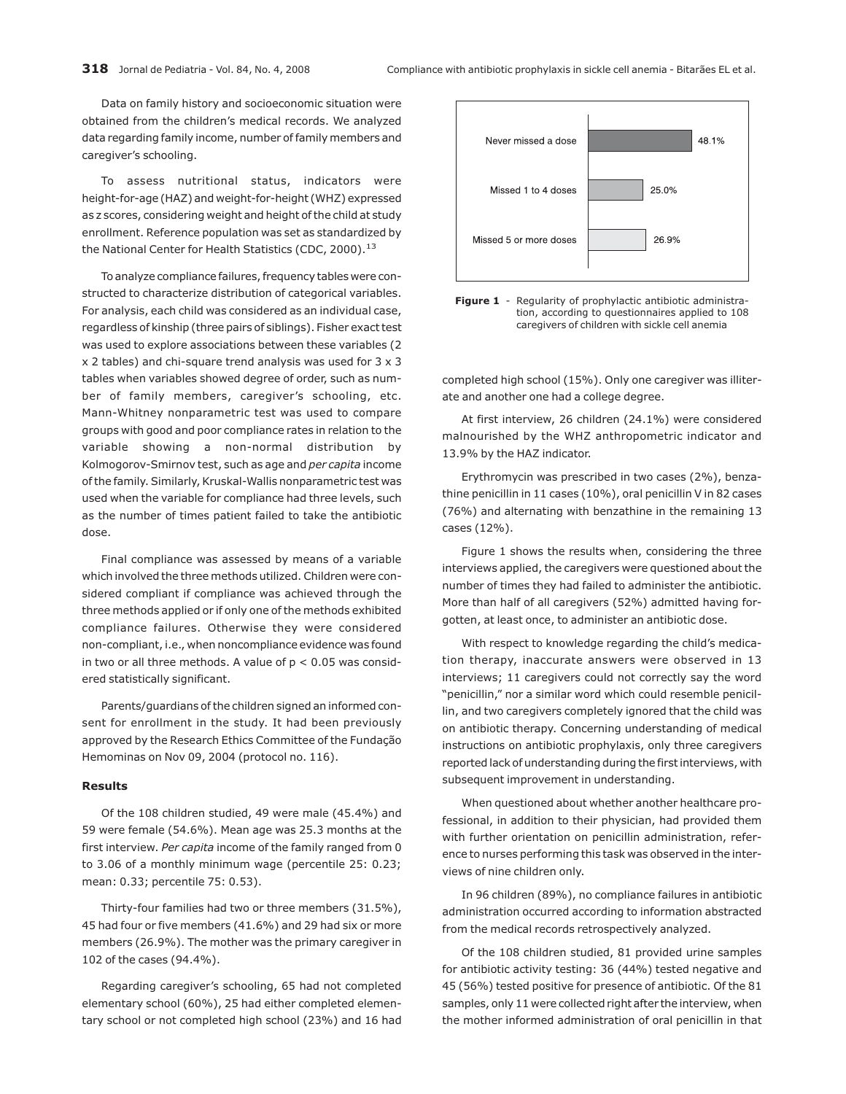Data on family history and socioeconomic situation were obtained from the children's medical records. We analyzed data regarding family income, number of family members and caregiver's schooling.

To assess nutritional status, indicators were height-for-age (HAZ) and weight-for-height (WHZ) expressed as z scores, considering weight and height of the child at study enrollment. Reference population was set as standardized by the National Center for Health Statistics (CDC, 2000).<sup>13</sup>

To analyze compliance failures, frequency tables were constructed to characterize distribution of categorical variables. For analysis, each child was considered as an individual case, regardless of kinship (three pairs of siblings). Fisher exact test was used to explore associations between these variables (2  $x$  2 tables) and chi-square trend analysis was used for  $3 \times 3$ tables when variables showed degree of order, such as number of family members, caregiver's schooling, etc. Mann-Whitney nonparametric test was used to compare groups with good and poor compliance rates in relation to the variable showing a non-normal distribution by Kolmogorov-Smirnov test, such as age and *per capita* income of the family. Similarly, Kruskal-Wallis nonparametric test was used when the variable for compliance had three levels, such as the number of times patient failed to take the antibiotic dose.

Final compliance was assessed by means of a variable which involved the three methods utilized. Children were considered compliant if compliance was achieved through the three methods applied or if only one of the methods exhibited compliance failures. Otherwise they were considered non-compliant, i.e., when noncompliance evidence was found in two or all three methods. A value of  $p < 0.05$  was considered statistically significant.

Parents/guardians of the children signed an informed consent for enrollment in the study. It had been previously approved by the Research Ethics Committee of the Fundação Hemominas on Nov 09, 2004 (protocol no. 116).

#### **Results**

Of the 108 children studied, 49 were male (45.4%) and 59 were female (54.6%). Mean age was 25.3 months at the first interview. *Per capita* income of the family ranged from 0 to 3.06 of a monthly minimum wage (percentile 25: 0.23; mean: 0.33; percentile 75: 0.53).

Thirty-four families had two or three members (31.5%), 45 had four or five members (41.6%) and 29 had six or more members (26.9%). The mother was the primary caregiver in 102 of the cases (94.4%).

Regarding caregiver's schooling, 65 had not completed elementary school (60%), 25 had either completed elementary school or not completed high school (23%) and 16 had





completed high school (15%). Only one caregiver was illiterate and another one had a college degree.

At first interview, 26 children (24.1%) were considered malnourished by the WHZ anthropometric indicator and 13.9% by the HAZ indicator.

Erythromycin was prescribed in two cases (2%), benzathine penicillin in 11 cases (10%), oral penicillin V in 82 cases (76%) and alternating with benzathine in the remaining 13 cases (12%).

Figure 1 shows the results when, considering the three interviews applied, the caregivers were questioned about the number of times they had failed to administer the antibiotic. More than half of all caregivers (52%) admitted having forgotten, at least once, to administer an antibiotic dose.

With respect to knowledge regarding the child's medication therapy, inaccurate answers were observed in 13 interviews; 11 caregivers could not correctly say the word "penicillin," nor a similar word which could resemble penicillin, and two caregivers completely ignored that the child was on antibiotic therapy. Concerning understanding of medical instructions on antibiotic prophylaxis, only three caregivers reported lack of understanding during the first interviews, with subsequent improvement in understanding.

When questioned about whether another healthcare professional, in addition to their physician, had provided them with further orientation on penicillin administration, reference to nurses performing this task was observed in the interviews of nine children only.

In 96 children (89%), no compliance failures in antibiotic administration occurred according to information abstracted from the medical records retrospectively analyzed.

Of the 108 children studied, 81 provided urine samples for antibiotic activity testing: 36 (44%) tested negative and 45 (56%) tested positive for presence of antibiotic. Of the 81 samples, only 11 were collected right after the interview, when the mother informed administration of oral penicillin in that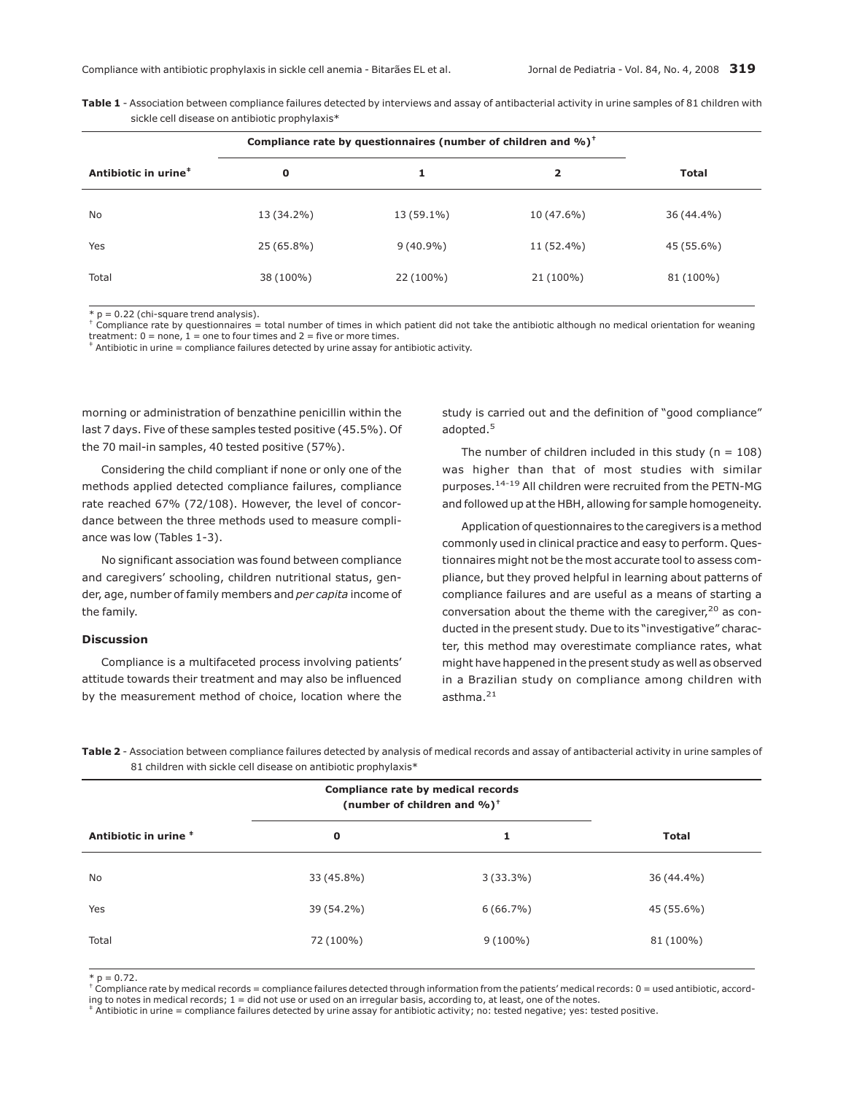| <b>Table 1</b> - Association between compliance failures detected by interviews and assay of antibacterial activity in urine samples of 81 children with |  |
|----------------------------------------------------------------------------------------------------------------------------------------------------------|--|
| sickle cell disease on antibiotic prophylaxis*                                                                                                           |  |

|                                  | Compliance rate by questionnaires (number of children and %) <sup>+</sup> |             |                         |              |
|----------------------------------|---------------------------------------------------------------------------|-------------|-------------------------|--------------|
| Antibiotic in urine <sup>#</sup> | O                                                                         | 1           | $\overline{\mathbf{2}}$ | <b>Total</b> |
| No.                              | 13 (34.2%)                                                                | 13 (59.1%)  | 10 (47.6%)              | 36 (44.4%)   |
| Yes                              | 25 (65.8%)                                                                | $9(40.9\%)$ | 11 (52.4%)              | 45 (55.6%)   |
| Total                            | 38 (100%)                                                                 | 22 (100%)   | 21 (100%)               | 81 (100%)    |

 $* p = 0.22$  (chi-square trend analysis).

† Compliance rate by questionnaires = total number of times in which patient did not take the antibiotic although no medical orientation for weaning treatment:  $0 =$  none,  $1 =$  one to four times and  $2 =$  five or more times.<br> $\pm$  Antibiotic in urine = compliance failures detected by urine assay for antibiotic activity.

morning or administration of benzathine penicillin within the last 7 days. Five of these samples tested positive (45.5%). Of the 70 mail-in samples, 40 tested positive (57%).

Considering the child compliant if none or only one of the methods applied detected compliance failures, compliance rate reached 67% (72/108). However, the level of concordance between the three methods used to measure compliance was low (Tables 1-3).

No significant association was found between compliance and caregivers' schooling, children nutritional status, gender, age, number of family members and *per capita* income of the family.

## **Discussion**

Compliance is a multifaceted process involving patients' attitude towards their treatment and may also be influenced by the measurement method of choice, location where the study is carried out and the definition of "good compliance" adopted.<sup>5</sup>

The number of children included in this study ( $n = 108$ ) was higher than that of most studies with similar purposes.14-19 All children were recruited from the PETN-MG and followed up at the HBH, allowing for sample homogeneity.

Application of questionnaires to the caregivers is a method commonly used in clinical practice and easy to perform. Questionnaires might not be the most accurate tool to assess compliance, but they proved helpful in learning about patterns of compliance failures and are useful as a means of starting a conversation about the theme with the caregiver, $20$  as conducted in the present study. Due to its "investigative" character, this method may overestimate compliance rates, what might have happened in the present study as well as observed in a Brazilian study on compliance among children with asthma. $^{21}$ 

**Table 2** - Association between compliance failures detected by analysis of medical records and assay of antibacterial activity in urine samples of 81 children with sickle cell disease on antibiotic prophylaxis\*

|                       | Compliance rate by medical records<br>(number of children and %) <sup>+</sup> |             |              |
|-----------------------|-------------------------------------------------------------------------------|-------------|--------------|
| Antibiotic in urine * | $\mathbf 0$                                                                   | 1           | <b>Total</b> |
| No                    | 33 (45.8%)                                                                    | $3(33.3\%)$ | 36 (44.4%)   |
| Yes                   | 39 (54.2%)                                                                    | $6(66.7\%)$ | 45 (55.6%)   |
| Total                 | 72 (100%)                                                                     | $9(100\%)$  | 81 (100%)    |
|                       |                                                                               |             |              |

 $* p = 0.72.$ 

 $^+$ Compliance rate by medical records = compliance failures detected through information from the patients' medical records: 0 = used antibiotic, accord-<br>ing to notes in medical records; 1 = did not use or used on an irr

 $^{\ast}$  Antibiotic in urine = compliance failures detected by urine assay for antibiotic activity; no: tested negative; yes: tested positive.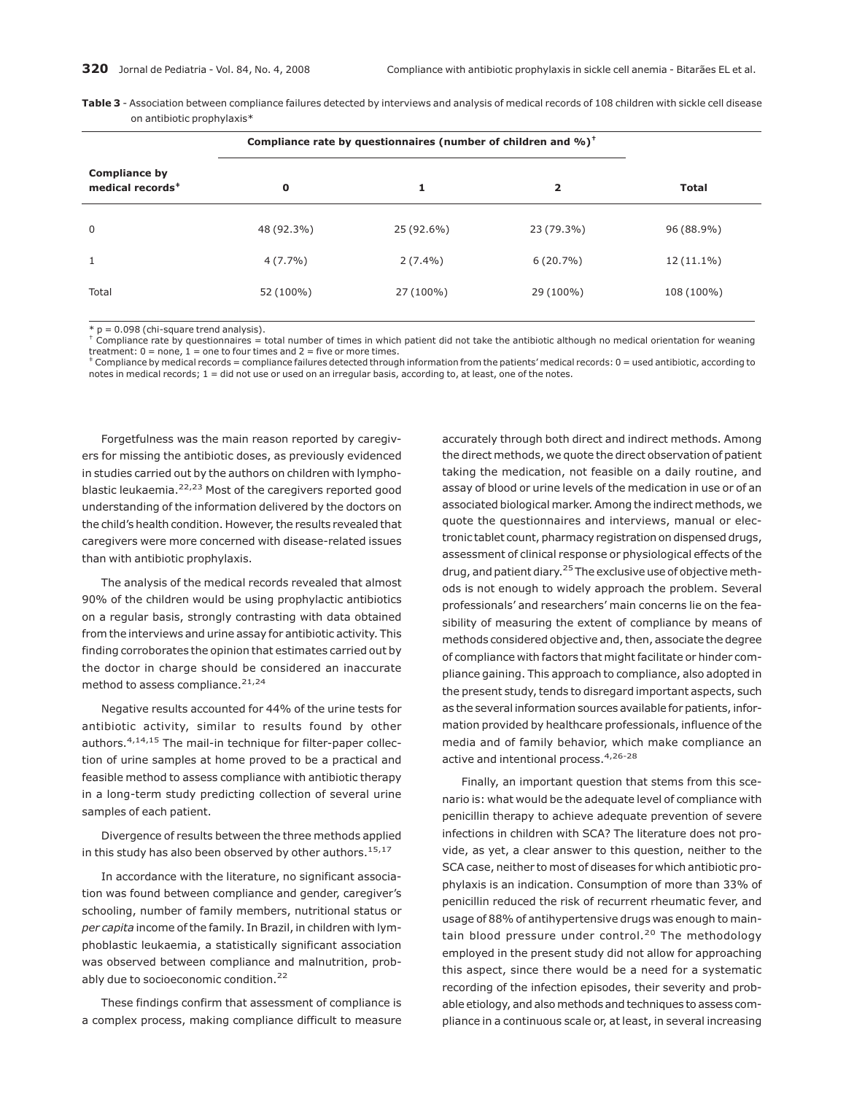| <b>Table 3</b> - Association between compliance failures detected by interviews and analysis of medical records of 108 children with sickle cell disease |  |  |
|----------------------------------------------------------------------------------------------------------------------------------------------------------|--|--|
| on antibiotic prophylaxis*                                                                                                                               |  |  |

|                                                      |             | Compliance rate by questionnaires (number of children and %) <sup>+</sup> |                |              |
|------------------------------------------------------|-------------|---------------------------------------------------------------------------|----------------|--------------|
| <b>Compliance by</b><br>medical records <sup>#</sup> | $\mathbf 0$ | 1                                                                         | $\overline{2}$ | <b>Total</b> |
| $\mathbf 0$                                          | 48 (92.3%)  | 25 (92.6%)                                                                | 23 (79.3%)     | 96 (88.9%)   |
| 1                                                    | $4(7.7\%)$  | $2(7.4\%)$                                                                | $6(20.7\%)$    | $12(11.1\%)$ |
| Total                                                | 52 (100%)   | 27 (100%)                                                                 | 29 (100%)      | 108 (100%)   |
|                                                      |             |                                                                           |                |              |

 $*$  p = 0.098 (chi-square trend analysis).

† Compliance rate by questionnaires = total number of times in which patient did not take the antibiotic although no medical orientation for weaning treatment: 0 = none, 1 = one to four times and 2 = five or more times.<br> $\ddagger$  Compliance by medical records = compliance failures detected through information from the patients' medical records: 0 = used antibiotic, accord

notes in medical records;  $1 =$  did not use or used on an irregular basis, according to, at least, one of the notes.

Forgetfulness was the main reason reported by caregivers for missing the antibiotic doses, as previously evidenced in studies carried out by the authors on children with lymphoblastic leukaemia.<sup>22,23</sup> Most of the caregivers reported good understanding of the information delivered by the doctors on the child's health condition. However, the results revealed that caregivers were more concerned with disease-related issues than with antibiotic prophylaxis.

The analysis of the medical records revealed that almost 90% of the children would be using prophylactic antibiotics on a regular basis, strongly contrasting with data obtained from the interviews and urine assay for antibiotic activity. This finding corroborates the opinion that estimates carried out by the doctor in charge should be considered an inaccurate method to assess compliance.<sup>21,24</sup>

Negative results accounted for 44% of the urine tests for antibiotic activity, similar to results found by other authors.<sup>4,14,15</sup> The mail-in technique for filter-paper collection of urine samples at home proved to be a practical and feasible method to assess compliance with antibiotic therapy in a long-term study predicting collection of several urine samples of each patient.

Divergence of results between the three methods applied in this study has also been observed by other authors.<sup>15,17</sup>

In accordance with the literature, no significant association was found between compliance and gender, caregiver's schooling, number of family members, nutritional status or *per capita* income of the family. In Brazil, in children with lymphoblastic leukaemia, a statistically significant association was observed between compliance and malnutrition, probably due to socioeconomic condition.<sup>22</sup>

These findings confirm that assessment of compliance is a complex process, making compliance difficult to measure accurately through both direct and indirect methods. Among the direct methods, we quote the direct observation of patient taking the medication, not feasible on a daily routine, and assay of blood or urine levels of the medication in use or of an associated biological marker. Among the indirect methods, we quote the questionnaires and interviews, manual or electronic tablet count, pharmacy registration on dispensed drugs, assessment of clinical response or physiological effects of the drug, and patient diary.<sup>25</sup> The exclusive use of objective methods is not enough to widely approach the problem. Several professionals' and researchers' main concerns lie on the feasibility of measuring the extent of compliance by means of methods considered objective and, then, associate the degree of compliance with factors that might facilitate or hinder compliance gaining. This approach to compliance, also adopted in the present study, tends to disregard important aspects, such as the several information sources available for patients, information provided by healthcare professionals, influence of the media and of family behavior, which make compliance an active and intentional process.<sup>4,26-28</sup>

Finally, an important question that stems from this scenario is: what would be the adequate level of compliance with penicillin therapy to achieve adequate prevention of severe infections in children with SCA? The literature does not provide, as yet, a clear answer to this question, neither to the SCA case, neither to most of diseases for which antibiotic prophylaxis is an indication. Consumption of more than 33% of penicillin reduced the risk of recurrent rheumatic fever, and usage of 88% of antihypertensive drugs was enough to maintain blood pressure under control.<sup>20</sup> The methodology employed in the present study did not allow for approaching this aspect, since there would be a need for a systematic recording of the infection episodes, their severity and probable etiology, and also methods and techniques to assess compliance in a continuous scale or, at least, in several increasing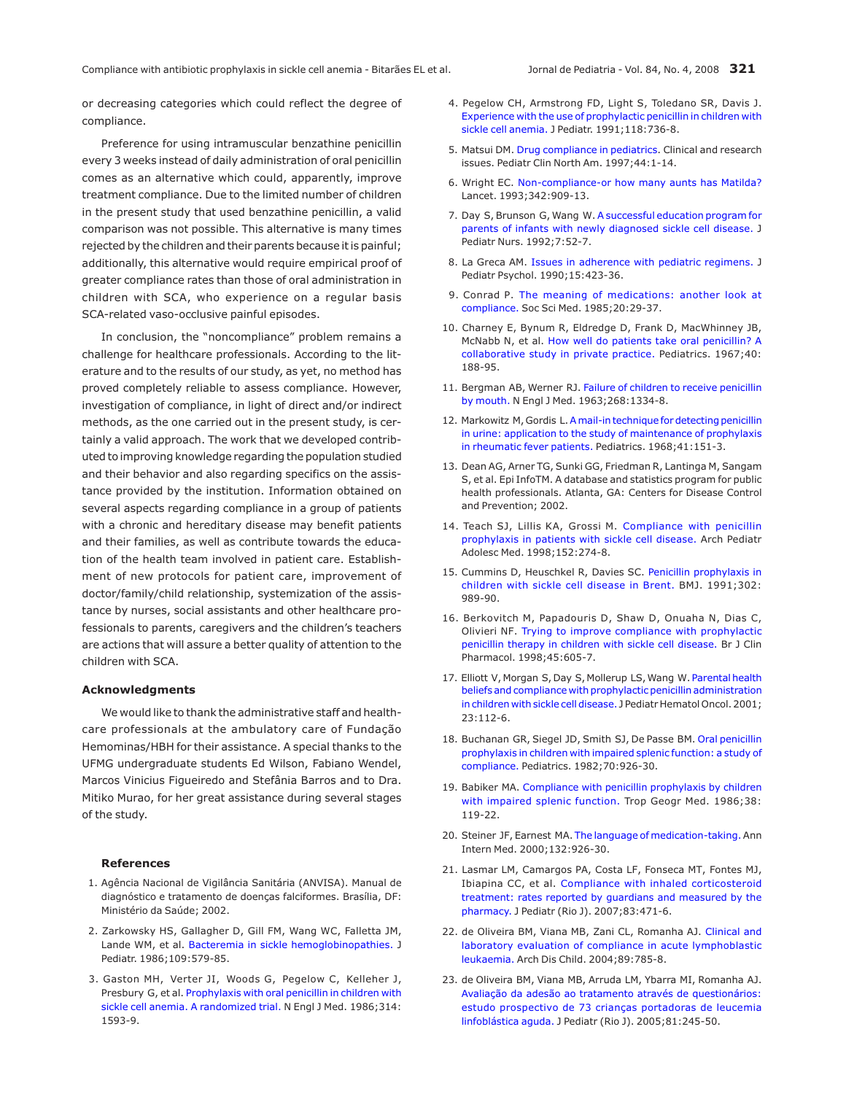or decreasing categories which could reflect the degree of compliance.

Preference for using intramuscular benzathine penicillin every 3 weeks instead of daily administration of oral penicillin comes as an alternative which could, apparently, improve treatment compliance. Due to the limited number of children in the present study that used benzathine penicillin, a valid comparison was not possible. This alternative is many times rejected by the children and their parents because it is painful; additionally, this alternative would require empirical proof of greater compliance rates than those of oral administration in children with SCA, who experience on a regular basis SCA-related vaso-occlusive painful episodes.

In conclusion, the "noncompliance" problem remains a challenge for healthcare professionals. According to the literature and to the results of our study, as yet, no method has proved completely reliable to assess compliance. However, investigation of compliance, in light of direct and/or indirect methods, as the one carried out in the present study, is certainly a valid approach. The work that we developed contributed to improving knowledge regarding the population studied and their behavior and also regarding specifics on the assistance provided by the institution. Information obtained on several aspects regarding compliance in a group of patients with a chronic and hereditary disease may benefit patients and their families, as well as contribute towards the education of the health team involved in patient care. Establishment of new protocols for patient care, improvement of doctor/family/child relationship, systemization of the assistance by nurses, social assistants and other healthcare professionals to parents, caregivers and the children's teachers are actions that will assure a better quality of attention to the children with SCA.

## **Acknowledgments**

We would like to thank the administrative staff and healthcare professionals at the ambulatory care of Fundação Hemominas/HBH for their assistance. A special thanks to the UFMG undergraduate students Ed Wilson, Fabiano Wendel, Marcos Vinicius Figueiredo and Stefânia Barros and to Dra. Mitiko Murao, for her great assistance during several stages of the study.

## **References**

- 1. Agência Nacional de Vigilância Sanitária (ANVISA). Manual de diagnóstico e tratamento de doenças falciformes. Brasília, DF: Ministério da Saúde; 2002.
- 2. Zarkowsky HS, Gallagher D, Gill FM, Wang WC, Falletta JM, Lande WM, et al. [Bacteremia in sickle hemoglobinopathies.](http://www.ncbi.nlm.nih.gov/entrez/query.fcgi?cmd=Retrieve&db=pubmed&dopt=abstract&list_uids=3531449) J Pediatr. 1986;109:579-85.
- 3. Gaston MH, Verter JI, Woods G, Pegelow C, Kelleher J, Presbury G, et al. [Prophylaxis with oral penicillin in children with](http://www.ncbi.nlm.nih.gov/entrez/query.fcgi?cmd=Retrieve&db=pubmed&dopt=abstract&list_uids=3086721) [sickle cell anemia. A randomized trial.](http://www.ncbi.nlm.nih.gov/entrez/query.fcgi?cmd=Retrieve&db=pubmed&dopt=abstract&list_uids=3086721) N Engl J Med. 1986;314: 1593-9.
- 4. Pegelow CH, Armstrong FD, Light S, Toledano SR, Davis J. [Experience with the use of prophylactic penicillin in children with](http://www.ncbi.nlm.nih.gov/entrez/query.fcgi?cmd=Retrieve&db=pubmed&dopt=abstract&list_uids=2019928) [sickle cell anemia.](http://www.ncbi.nlm.nih.gov/entrez/query.fcgi?cmd=Retrieve&db=pubmed&dopt=abstract&list_uids=2019928) J Pediatr. 1991;118:736-8.
- 5. Matsui DM. [Drug compliance in pediatrics.](http://www.ncbi.nlm.nih.gov/entrez/query.fcgi?cmd=Retrieve&db=pubmed&dopt=abstract&list_uids=9057780) Clinical and research issues. Pediatr Clin North Am. 1997;44:1-14.
- 6. Wright EC. [Non-compliance-or how many aunts has Matilda?](http://www.ncbi.nlm.nih.gov/entrez/query.fcgi?cmd=Retrieve&db=pubmed&dopt=abstract&list_uids=8105172) Lancet. 1993;342:909-13.
- 7. Day S, Brunson G, Wang W. [A successful education program for](http://www.ncbi.nlm.nih.gov/entrez/query.fcgi?cmd=Retrieve&db=pubmed&dopt=abstract&list_uids=1548563) [parents of infants with newly diagnosed sickle cell disease.](http://www.ncbi.nlm.nih.gov/entrez/query.fcgi?cmd=Retrieve&db=pubmed&dopt=abstract&list_uids=1548563) J Pediatr Nurs. 1992;7:52-7.
- 8. La Greca AM. [Issues in adherence with pediatric regimens.](http://www.ncbi.nlm.nih.gov/entrez/query.fcgi?cmd=Retrieve&db=pubmed&dopt=abstract&list_uids=2258792) J Pediatr Psychol. 1990;15:423-36.
- 9. Conrad P. [The meaning of medications: another look at](http://www.ncbi.nlm.nih.gov/entrez/query.fcgi?cmd=Retrieve&db=pubmed&dopt=abstract&list_uids=3975668) [compliance.](http://www.ncbi.nlm.nih.gov/entrez/query.fcgi?cmd=Retrieve&db=pubmed&dopt=abstract&list_uids=3975668) Soc Sci Med. 1985;20:29-37.
- 10. Charney E, Bynum R, Eldredge D, Frank D, MacWhinney JB, McNabb N, et al. [How well do patients take oral penicillin? A](http://www.ncbi.nlm.nih.gov/entrez/query.fcgi?cmd=Retrieve&db=pubmed&dopt=abstract&list_uids=5006583) [collaborative study in private practice.](http://www.ncbi.nlm.nih.gov/entrez/query.fcgi?cmd=Retrieve&db=pubmed&dopt=abstract&list_uids=5006583) Pediatrics. 1967;40: 188-95.
- 11. Bergman AB, Werner RJ. [Failure of children to receive penicillin](http://www.ncbi.nlm.nih.gov/entrez/query.fcgi?cmd=Retrieve&db=pubmed&dopt=abstract&list_uids=13970724) [by mouth.](http://www.ncbi.nlm.nih.gov/entrez/query.fcgi?cmd=Retrieve&db=pubmed&dopt=abstract&list_uids=13970724) N Engl J Med. 1963;268:1334-8.
- 12. Markowitz M, Gordis L[.Amail-in technique for detecting penicillin](http://www.ncbi.nlm.nih.gov/entrez/query.fcgi?cmd=Retrieve&db=pubmed&dopt=abstract&list_uids=5635481) [in urine: application to the study of maintenance of prophylaxis](http://www.ncbi.nlm.nih.gov/entrez/query.fcgi?cmd=Retrieve&db=pubmed&dopt=abstract&list_uids=5635481) [in rheumatic fever patients.](http://www.ncbi.nlm.nih.gov/entrez/query.fcgi?cmd=Retrieve&db=pubmed&dopt=abstract&list_uids=5635481) Pediatrics. 1968;41:151-3.
- 13. Dean AG, Arner TG, Sunki GG, Friedman R, Lantinga M, Sangam S, et al. Epi InfoTM. A database and statistics program for public health professionals. Atlanta, GA: Centers for Disease Control and Prevention; 2002.
- 14. Teach SJ, Lillis KA, Grossi M. [Compliance with penicillin](http://www.ncbi.nlm.nih.gov/entrez/query.fcgi?cmd=Retrieve&db=pubmed&dopt=abstract&list_uids=9529466) [prophylaxis in patients with sickle cell disease.](http://www.ncbi.nlm.nih.gov/entrez/query.fcgi?cmd=Retrieve&db=pubmed&dopt=abstract&list_uids=9529466) Arch Pediatr Adolesc Med. 1998;152:274-8.
- 15. Cummins D, Heuschkel R, Davies SC. [Penicillin prophylaxis in](http://www.ncbi.nlm.nih.gov/entrez/query.fcgi?cmd=Retrieve&db=pubmed&dopt=abstract&list_uids=2039895) [children with sickle cell disease in Brent.](http://www.ncbi.nlm.nih.gov/entrez/query.fcgi?cmd=Retrieve&db=pubmed&dopt=abstract&list_uids=2039895) BMJ. 1991;302: 989-90.
- 16. Berkovitch M, Papadouris D, Shaw D, Onuaha N, Dias C, Olivieri NF. [Trying to improve compliance with prophylactic](http://www.ncbi.nlm.nih.gov/entrez/query.fcgi?cmd=Retrieve&db=pubmed&dopt=abstract&list_uids=9663818) [penicillin therapy in children with sickle cell disease.](http://www.ncbi.nlm.nih.gov/entrez/query.fcgi?cmd=Retrieve&db=pubmed&dopt=abstract&list_uids=9663818) Br J Clin Pharmacol. 1998;45:605-7.
- 17. Elliott V, Morgan S, Day S, Mollerup LS, Wang W. [Parental health](http://www.ncbi.nlm.nih.gov/entrez/query.fcgi?cmd=Retrieve&db=pubmed&dopt=abstract&list_uids=11216702) [beliefs and compliance with prophylactic penicillin administration](http://www.ncbi.nlm.nih.gov/entrez/query.fcgi?cmd=Retrieve&db=pubmed&dopt=abstract&list_uids=11216702) [in children with sickle cell disease.](http://www.ncbi.nlm.nih.gov/entrez/query.fcgi?cmd=Retrieve&db=pubmed&dopt=abstract&list_uids=11216702) J Pediatr Hematol Oncol. 2001; 23:112-6.
- 18. Buchanan GR, Siegel JD, Smith SJ, De Passe BM. [Oral penicillin](http://www.ncbi.nlm.nih.gov/entrez/query.fcgi?cmd=Retrieve&db=pubmed&dopt=abstract&list_uids=7145549) [prophylaxis in children with impaired splenic function: a study of](http://www.ncbi.nlm.nih.gov/entrez/query.fcgi?cmd=Retrieve&db=pubmed&dopt=abstract&list_uids=7145549) [compliance.](http://www.ncbi.nlm.nih.gov/entrez/query.fcgi?cmd=Retrieve&db=pubmed&dopt=abstract&list_uids=7145549) Pediatrics. 1982;70:926-30.
- 19. Babiker MA. [Compliance with penicillin prophylaxis by children](http://www.ncbi.nlm.nih.gov/entrez/query.fcgi?cmd=Retrieve&db=pubmed&dopt=abstract&list_uids=3090751) [with impaired splenic function.](http://www.ncbi.nlm.nih.gov/entrez/query.fcgi?cmd=Retrieve&db=pubmed&dopt=abstract&list_uids=3090751) Trop Geogr Med. 1986;38: 119-22.
- 20. Steiner JF, Earnest MA. [The language of medication-taking.](http://www.ncbi.nlm.nih.gov/entrez/query.fcgi?cmd=Retrieve&db=pubmed&dopt=abstract&list_uids=10836931)Ann Intern Med. 2000;132:926-30.
- 21. Lasmar LM, Camargos PA, Costa LF, Fonseca MT, Fontes MJ, Ibiapina CC, et al. [Compliance with inhaled corticosteroid](http://www.ncbi.nlm.nih.gov/entrez/query.fcgi?cmd=Retrieve&db=pubmed&dopt=abstract&list_uids=17940683) [treatment: rates reported by guardians and measured by the](http://www.ncbi.nlm.nih.gov/entrez/query.fcgi?cmd=Retrieve&db=pubmed&dopt=abstract&list_uids=17940683) [pharmacy.](http://www.ncbi.nlm.nih.gov/entrez/query.fcgi?cmd=Retrieve&db=pubmed&dopt=abstract&list_uids=17940683) J Pediatr (Rio J). 2007;83:471-6.
- 22. de Oliveira BM, Viana MB, Zani CL, Romanha AJ. [Clinical and](http://www.ncbi.nlm.nih.gov/entrez/query.fcgi?cmd=Retrieve&db=pubmed&dopt=abstract&list_uids=15269085) [laboratory evaluation of compliance in acute lymphoblastic](http://www.ncbi.nlm.nih.gov/entrez/query.fcgi?cmd=Retrieve&db=pubmed&dopt=abstract&list_uids=15269085) [leukaemia.](http://www.ncbi.nlm.nih.gov/entrez/query.fcgi?cmd=Retrieve&db=pubmed&dopt=abstract&list_uids=15269085) Arch Dis Child. 2004;89:785-8.
- 23. de Oliveira BM, Viana MB, Arruda LM, Ybarra MI, Romanha AJ. [Avaliação da adesão ao tratamento através de questionários:](http://www.scielo.br/scielo.php?script=sci_arttext&pid=S0021-75572005000400012) [estudo prospectivo de 73 crianças portadoras de leucemia](http://www.scielo.br/scielo.php?script=sci_arttext&pid=S0021-75572005000400012) [linfoblástica aguda.](http://www.scielo.br/scielo.php?script=sci_arttext&pid=S0021-75572005000400012) J Pediatr (Rio J). 2005;81:245-50.